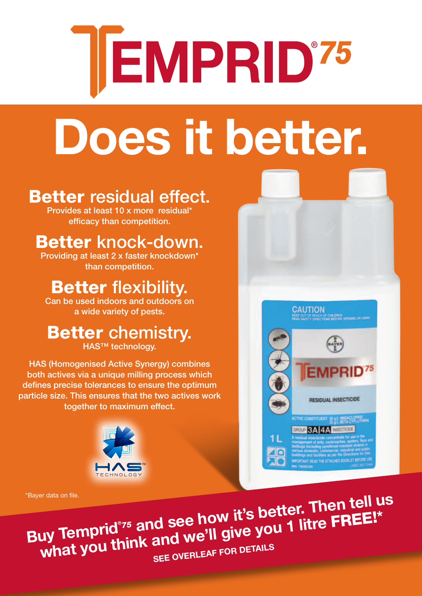# **EMPRID'75**

## **Does it better.**

#### Better residual effect.

Provides at least 10 x more residual\* efficacy than competition.

#### Better knock-down.

Providing at least 2 x faster knockdown\* than competition.

#### Better flexibility.

Can be used indoors and outdoors on a wide variety of pests.

#### Better chemistry.

HAS<sup>™</sup> technology.

HAS (Homogenised Active Synergy) combines both actives via a unique milling process which defines precise tolerances to ensure the optimum particle size. This ensures that the two actives work together to maximum effect.







**Buy Temprid®** *78ayer data on file.*<br>
Temperid<sup>®75</sup> and see how it's better. Then tell us<br>
Temperid®75 and see how it's better. Then FREE!\* what you think and we'll give you 1 litre FREE!\*<br>What you think and we'll give you 1 litre FREE!\*